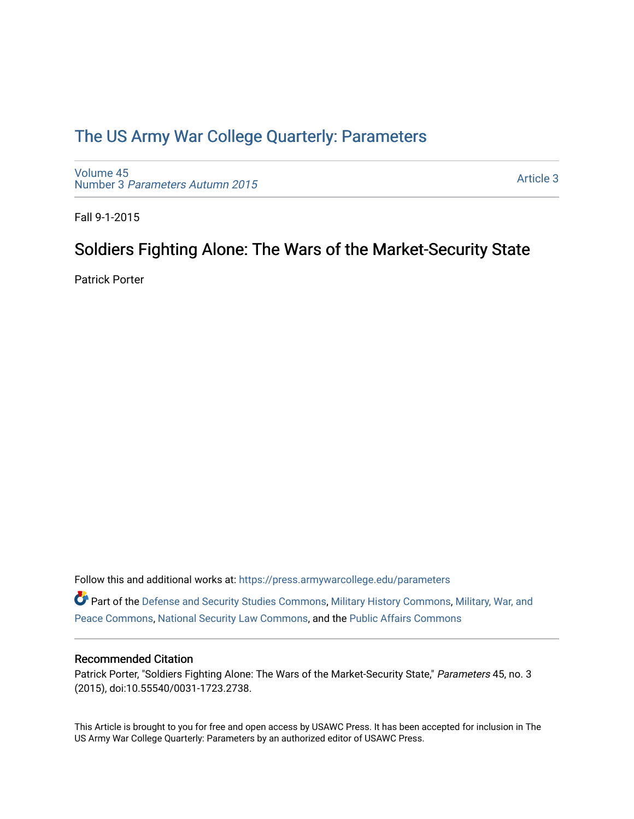## [The US Army War College Quarterly: Parameters](https://press.armywarcollege.edu/parameters)

[Volume 45](https://press.armywarcollege.edu/parameters/vol45) Number 3 [Parameters Autumn 2015](https://press.armywarcollege.edu/parameters/vol45/iss3)

[Article 3](https://press.armywarcollege.edu/parameters/vol45/iss3/3) 

Fall 9-1-2015

### Soldiers Fighting Alone: The Wars of the Market-Security State

Patrick Porter

Follow this and additional works at: [https://press.armywarcollege.edu/parameters](https://press.armywarcollege.edu/parameters?utm_source=press.armywarcollege.edu%2Fparameters%2Fvol45%2Fiss3%2F3&utm_medium=PDF&utm_campaign=PDFCoverPages) 

Part of the [Defense and Security Studies Commons](http://network.bepress.com/hgg/discipline/394?utm_source=press.armywarcollege.edu%2Fparameters%2Fvol45%2Fiss3%2F3&utm_medium=PDF&utm_campaign=PDFCoverPages), [Military History Commons,](http://network.bepress.com/hgg/discipline/504?utm_source=press.armywarcollege.edu%2Fparameters%2Fvol45%2Fiss3%2F3&utm_medium=PDF&utm_campaign=PDFCoverPages) [Military, War, and](http://network.bepress.com/hgg/discipline/861?utm_source=press.armywarcollege.edu%2Fparameters%2Fvol45%2Fiss3%2F3&utm_medium=PDF&utm_campaign=PDFCoverPages)  [Peace Commons](http://network.bepress.com/hgg/discipline/861?utm_source=press.armywarcollege.edu%2Fparameters%2Fvol45%2Fiss3%2F3&utm_medium=PDF&utm_campaign=PDFCoverPages), [National Security Law Commons,](http://network.bepress.com/hgg/discipline/1114?utm_source=press.armywarcollege.edu%2Fparameters%2Fvol45%2Fiss3%2F3&utm_medium=PDF&utm_campaign=PDFCoverPages) and the [Public Affairs Commons](http://network.bepress.com/hgg/discipline/399?utm_source=press.armywarcollege.edu%2Fparameters%2Fvol45%2Fiss3%2F3&utm_medium=PDF&utm_campaign=PDFCoverPages) 

### Recommended Citation

Patrick Porter, "Soldiers Fighting Alone: The Wars of the Market-Security State," Parameters 45, no. 3 (2015), doi:10.55540/0031-1723.2738.

This Article is brought to you for free and open access by USAWC Press. It has been accepted for inclusion in The US Army War College Quarterly: Parameters by an authorized editor of USAWC Press.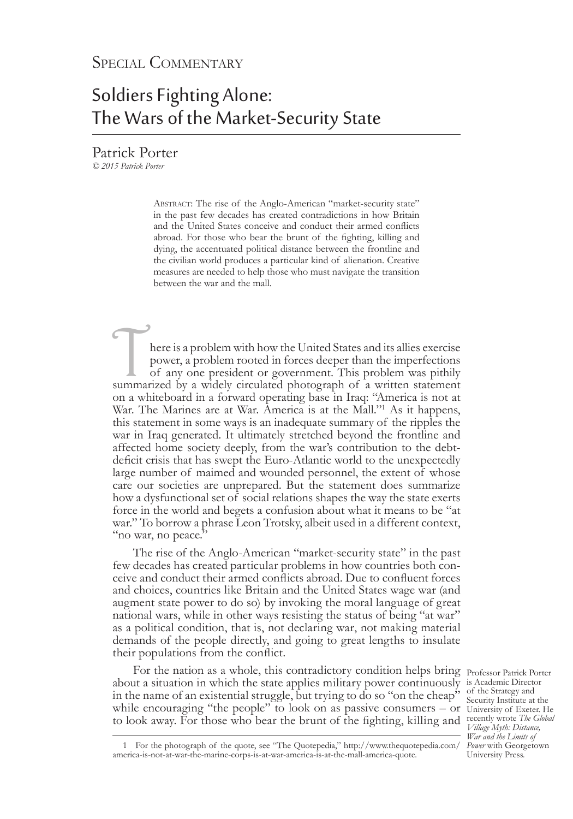# Soldiers Fighting Alone: The Wars of the Market-Security State

Patrick Porter

*© 2015 Patrick Porter*

ABSTRACT: The rise of the Anglo-American "market-security state" in the past few decades has created contradictions in how Britain and the United States conceive and conduct their armed conflicts abroad. For those who bear the brunt of the fighting, killing and dying, the accentuated political distance between the frontline and the civilian world produces a particular kind of alienation. Creative measures are needed to help those who must navigate the transition between the war and the mall.

here is a problem with how the United States and its allies exercise<br>power, a problem rooted in forces deeper than the imperfections<br>of any one president or government. This problem was pithily<br>summarized by a widely circu power, a problem rooted in forces deeper than the imperfections of any one president or government. This problem was pithily on a whiteboard in a forward operating base in Iraq: "America is not at War. The Marines are at War. America is at the Mall."<sup>1</sup> As it happens, this statement in some ways is an inadequate summary of the ripples the war in Iraq generated. It ultimately stretched beyond the frontline and affected home society deeply, from the war's contribution to the debtdeficit crisis that has swept the Euro-Atlantic world to the unexpectedly large number of maimed and wounded personnel, the extent of whose care our societies are unprepared. But the statement does summarize how a dysfunctional set of social relations shapes the way the state exerts force in the world and begets a confusion about what it means to be "at war." To borrow a phrase Leon Trotsky, albeit used in a different context, "no war, no peace."

The rise of the Anglo-American "market-security state" in the past few decades has created particular problems in how countries both con- ceive and conduct their armed conflicts abroad. Due to confluent forces and choices, countries like Britain and the United States wage war (and augment state power to do so) by invoking the moral language of great national wars, while in other ways resisting the status of being "at war" as a political condition, that is, not declaring war, not making material demands of the people directly, and going to great lengths to insulate their populations from the conflict.

For the nation as a whole, this contradictory condition helps bring Professor Patrick Porter about a situation in which the state applies military power continuously is Academic Director in the name of an existential struggle, but trying to do so "on the cheap" while encouraging "the people" to look on as passive consumers – or University of Exeter. He to look away. For those who bear the brunt of the fighting, killing and recently wrote *The Global* 

of the Strategy and Security Institute at the *Village Myth: Distance, War and the Limits of Power* with Georgetown University Press.

<sup>1</sup> For the photograph of the quote, see "The Quotepedia," http://www.thequotepedia.com/ america-is-not-at-war-the-marine-corps-is-at-war-america-is-at-the-mall-america-quote.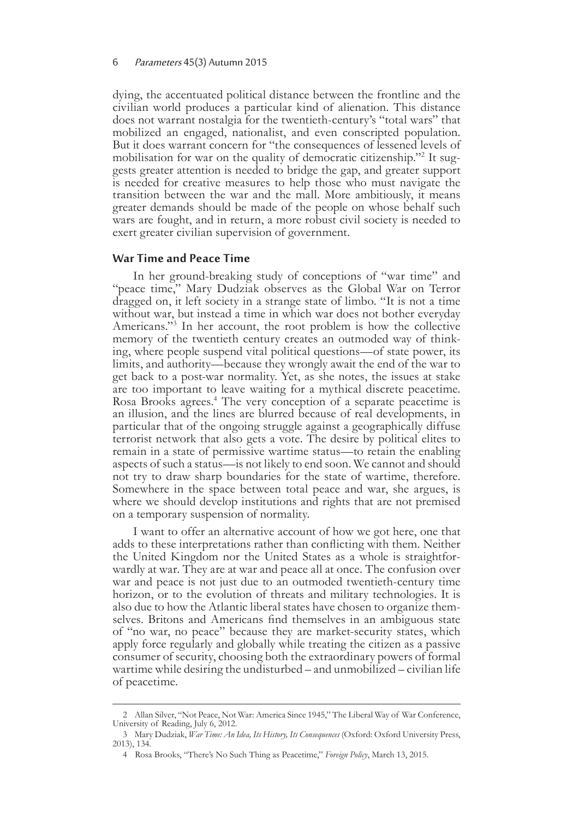#### 6 Parameters 45(3) Autumn 2015

dying, the accentuated political distance between the frontline and the civilian world produces a particular kind of alienation. This distance does not warrant nostalgia for the twentieth-century's "total wars" that mobilized an engaged, nationalist, and even conscripted population. But it does warrant concern for "the consequences of lessened levels of mobilisation for war on the quality of democratic citizenship."<sup>2</sup> It suggests greater attention is needed to bridge the gap, and greater support is needed for creative measures to help those who must navigate the transition between the war and the mall. More ambitiously, it means greater demands should be made of the people on whose behalf such wars are fought, and in return, a more robust civil society is needed to exert greater civilian supervision of government.

#### **War Time and Peace Time**

In her ground-breaking study of conceptions of "war time" and "peace time," Mary Dudziak observes as the Global War on Terror dragged on, it left society in a strange state of limbo. "It is not a time without war, but instead a time in which war does not bother everyday Americans."3 In her account, the root problem is how the collective memory of the twentieth century creates an outmoded way of think-<br>ing, where people suspend vital political questions—of state power, its limits, and authority—because they wrongly await the end of the war to get back to a post-war normality. Yet, as she notes, the issues at stake are too important to leave waiting for a mythical discrete peacetime. Rosa Brooks agrees.4 The very conception of a separate peacetime is an illusion, and the lines are blurred because of real developments, in particular that of the ongoing struggle against a geographically diffuse terrorist network that also gets a vote. The desire by political elites to remain in a state of permissive wartime status—to retain the enabling aspects of such a status—is not likely to end soon. We cannot and should not try to draw sharp boundaries for the state of wartime, therefore. Somewhere in the space between total peace and war, she argues, is where we should develop institutions and rights that are not premised on a temporary suspension of normality.

I want to offer an alternative account of how we got here, one that adds to these interpretations rather than conflicting with them. Neither the United Kingdom nor the United States as a whole is straightforwardly at war. They are at war and peace all at once. The confusion over war and peace is not just due to an outmoded twentieth-century time horizon, or to the evolution of threats and military technologies. It is also due to how the Atlantic liberal states have chosen to organize themselves. Britons and Americans find themselves in an ambiguous state of "no war, no peace" because they are market-security states, which apply force regularly and globally while treating the citizen as a passive consumer of security, choosing both the extraordinary powers of formal wartime while desiring the undisturbed – and unmobilized – civilian life of peacetime.

<sup>2</sup> Allan Silver, "Not Peace, Not War: America Since 1945," The Liberal Way of War Conference, University of Reading, July 6, 2012.

<sup>3</sup> Mary Dudziak, *War Time: An Idea, Its History, Its Consequences* (Oxford: Oxford University Press, 2013), 134.

<sup>4</sup> Rosa Brooks, "There's No Such Thing as Peacetime," *Foreign Policy*, March 13, 2015.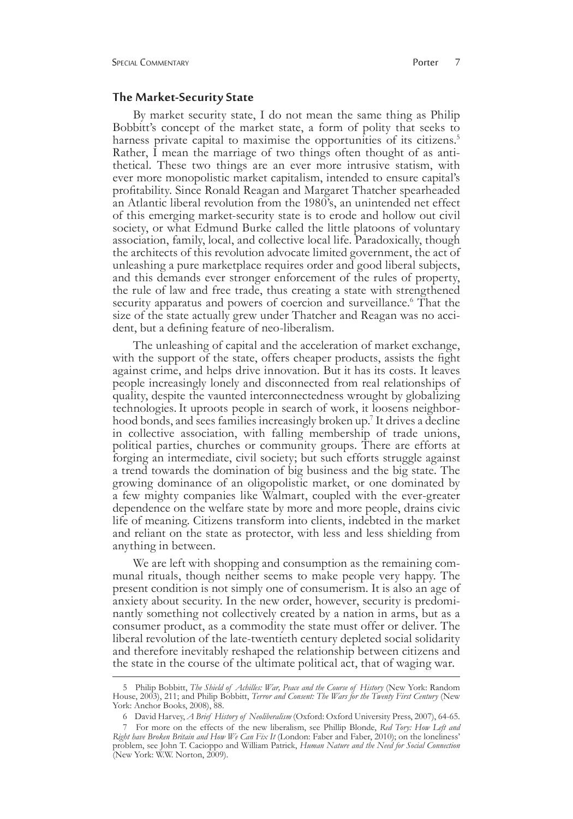#### **The Market-Security State**

By market security state, I do not mean the same thing as Philip Bobbitt's concept of the market state, a form of polity that seeks to harness private capital to maximise the opportunities of its citizens.<sup>5</sup> Rather, I mean the marriage of two things often thought of as anti- thetical. These two things are an ever more intrusive statism, with ever more monopolistic market capitalism, intended to ensure capital's profitability. Since Ronald Reagan and Margaret Thatcher spearheaded an Atlantic liberal revolution from the 1980's, an unintended net effect of this emerging market-security state is to erode and hollow out civil society, or what Edmund Burke called the little platoons of voluntary association, family, local, and collective local life. Paradoxically, though the architects of this revolution advocate limited government, the act of unleashing a pure marketplace requires order and good liberal subjects, and this demands ever stronger enforcement of the rules of property, the rule of law and free trade, thus creating a state with strengthened security apparatus and powers of coercion and surveillance.<sup>6</sup> That the size of the state actually grew under Thatcher and Reagan was no acci- dent, but a defining feature of neo-liberalism.

The unleashing of capital and the acceleration of market exchange, with the support of the state, offers cheaper products, assists the fight against crime, and helps drive innovation. But it has its costs. It leaves people increasingly lonely and disconnected from real relationships of quality, despite the vaunted interconnectedness wrought by globalizing technologies. It uproots people in search of work, it loosens neighborhood bonds, and sees families increasingly broken up.<sup>7</sup> It drives a decline in collective association, with falling membership of trade unions, political parties, churches or community groups. There are efforts at forging an intermediate, civil society; but such efforts struggle against a trend towards the domination of big business and the big state. The growing dominance of an oligopolistic market, or one dominated by a few mighty companies like Walmart, coupled with the ever-greater dependence on the welfare state by more and more people, drains civic life of meaning. Citizens transform into clients, indebted in the market and reliant on the state as protector, with less and less shielding from anything in between.

We are left with shopping and consumption as the remaining communal rituals, though neither seems to make people very happy. The present condition is not simply one of consumerism. It is also an age of anxiety about security. In the new order, however, security is predominantly something not collectively created by a nation in arms, but as a consumer product, as a commodity the state must offer or deliver. The liberal revolution of the late-twentieth century depleted social solidarity and therefore inevitably reshaped the relationship between citizens and the state in the course of the ultimate political act, that of waging war.

<sup>5</sup> Philip Bobbitt, *The Shield of Achilles: War, Peace and the Course of History* (New York: Random House, 2003), 211; and Philip Bobbitt, *Terror and Consent: The Wars for the Twenty First Century* (New York: Anchor Books, 2008), 88.

<sup>6</sup> David Harvey, *A Brief History of Neoliberalism* (Oxford: Oxford University Press, 2007), 64-65.

<sup>7</sup> For more on the effects of the new liberalism, see Phillip Blonde, *Red Tory: How Left and Right have Broken Britain and How We Can Fix It* (London: Faber and Faber, 2010); on the loneliness' problem, see John T. Cacioppo and William Patrick, *Human Nature and the Need for Social Connection* (New York: W.W. Norton, 2009).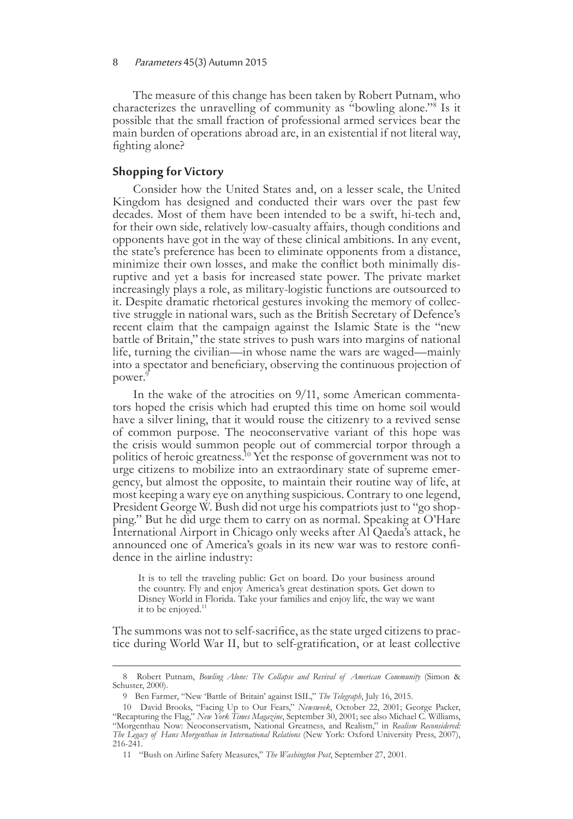The measure of this change has been taken by Robert Putnam, who characterizes the unravelling of community as "bowling alone."<sup>8</sup> Is it possible that the small fraction of professional armed services bear the main burden of operations abroad are, in an existential if not literal way, fighting alone?

#### **Shopping for Victory**

Consider how the United States and, on a lesser scale, the United Kingdom has designed and conducted their wars over the past few decades. Most of them have been intended to be a swift, hi-tech and, for their own side, relatively low-casualty affairs, though conditions and opponents have got in the way of these clinical ambitions. In any event, the state's preference has been to eliminate opponents from a distance, minimize their own losses, and make the conflict both minimally dis- ruptive and yet a basis for increased state power. The private market increasingly plays a role, as military-logistic functions are outsourced to it. Despite dramatic rhetorical gestures invoking the memory of collec- tive struggle in national wars, such as the British Secretary of Defence's recent claim that the campaign against the Islamic State is the "new battle of Britain," the state strives to push wars into margins of national life, turning the civilian—in whose name the wars are waged—mainly into a spectator and beneficiary, observing the continuous projection of power.<sup>9</sup>

In the wake of the atrocities on 9/11, some American commentators hoped the crisis which had erupted this time on home soil would have a silver lining, that it would rouse the citizenry to a revived sense of common purpose. The neoconservative variant of this hope was the crisis would summon people out of commercial torpor through a politics of heroic greatness.<sup>10</sup> Yet the response of government was not to urge citizens to mobilize into an extraordinary state of supreme emergency, but almost the opposite, to maintain their routine way of life, at most keeping a wary eye on anything suspicious. Contrary to one legend, President George W. Bush did not urge his compatriots just to "go shopping." But he did urge them to carry on as normal. Speaking at O'Hare International Airport in Chicago only weeks after Al Qaeda's attack, he announced one of America's goals in its new war was to restore confidence in the airline industry:

It is to tell the traveling public: Get on board. Do your business around the country. Fly and enjoy America's great destination spots. Get down to Disney World in Florida. Take your families and enjoy life, the way we want it to be enjoyed.<sup>11</sup>

The summons was not to self-sacrifice, as the state urged citizens to practice during World War II, but to self-gratification, or at least collective

<sup>8</sup> Robert Putnam, *Bowling Alone: The Collapse and Revival of American Community* (Simon & Schuster, 2000).

<sup>9</sup> Ben Farmer, "New 'Battle of Britain' against ISIL," *The Telegraph*, July 16, 2015.

<sup>10</sup> David Brooks, "Facing Up to Our Fears," *Newsweek*, October 22, 2001; George Packer, "Recapturing the Flag," *New York Times Magazine*, September 30, 2001; see also Michael C. Williams, "Morgenthau Now: Neoconservatism, National Greatness, and Realism," in *Realism Reconsidered: The Legacy of Hans Morgenthau in International Relations* (New York: Oxford University Press, 2007), 216-241.

<sup>11      &</sup>quot;Bush on Airline Safety Measures," *The Washington Post*, September 27, 2001.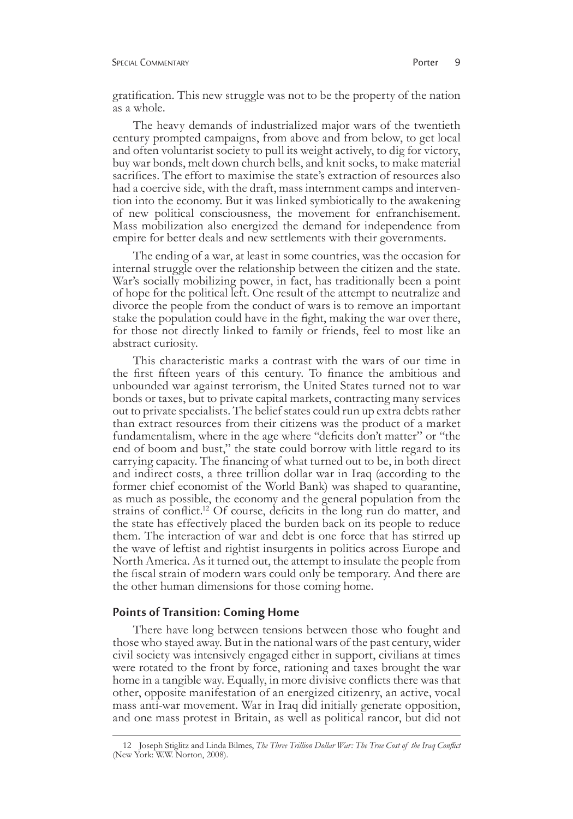gratification. This new struggle was not to be the property of the nation as a whole.

The heavy demands of industrialized major wars of the twentieth century prompted campaigns, from above and from below, to get local and often voluntarist society to pull its weight actively, to dig for victory, buy war bonds, melt down church bells, and knit socks, to make material sacrifices. The effort to maximise the state's extraction of resources also had a coercive side, with the draft, mass internment camps and intervention into the economy. But it was linked symbiotically to the awakening of new political consciousness, the movement for enfranchisement. Mass mobilization also energized the demand for independence from empire for better deals and new settlements with their governments.

The ending of a war, at least in some countries, was the occasion for internal struggle over the relationship between the citizen and the state. War's socially mobilizing power, in fact, has traditionally been a point of hope for the political left. One result of the attempt to neutralize and divorce the people from the conduct of wars is to remove an important stake the population could have in the fight, making the war over there, for those not directly linked to family or friends, feel to most like an abstract curiosity.

This characteristic marks a contrast with the wars of our time in the first fifteen years of this century. To finance the ambitious and unbounded war against terrorism, the United States turned not to war bonds or taxes, but to private capital markets, contracting many services out to private specialists. The belief states could run up extra debts rather than extract resources from their citizens was the product of a market fundamentalism, where in the age where "deficits don't matter" or "the end of boom and bust," the state could borrow with little regard to its carrying capacity. The financing of what turned out to be, in both direct and indirect costs, a three trillion dollar war in Iraq (according to the former chief economist of the World Bank) was shaped to quarantine, as much as possible, the economy and the general population from the strains of conflict.<sup>12</sup> Of course, deficits in the long run do matter, and the state has effectively placed the burden back on its people to reduce them. The interaction of war and debt is one force that has stirred up the wave of leftist and rightist insurgents in politics across Europe and North America. As it turned out, the attempt to insulate the people from the fiscal strain of modern wars could only be temporary. And there are the other human dimensions for those coming home.

#### **Points of Transition: Coming Home**

There have long between tensions between those who fought and those who stayed away. But in the national wars of the past century, wider civil society was intensively engaged either in support, civilians at times were rotated to the front by force, rationing and taxes brought the war home in a tangible way. Equally, in more divisive conflicts there was that other, opposite manifestation of an energized citizenry, an active, vocal mass anti-war movement. War in Iraq did initially generate opposition, and one mass protest in Britain, as well as political rancor, but did not

<sup>12</sup> Joseph Stiglitz and Linda Bilmes, *The Three Trillion Dollar War: The True Cost of the Iraq Conflict* (New York: W.W. Norton, 2008).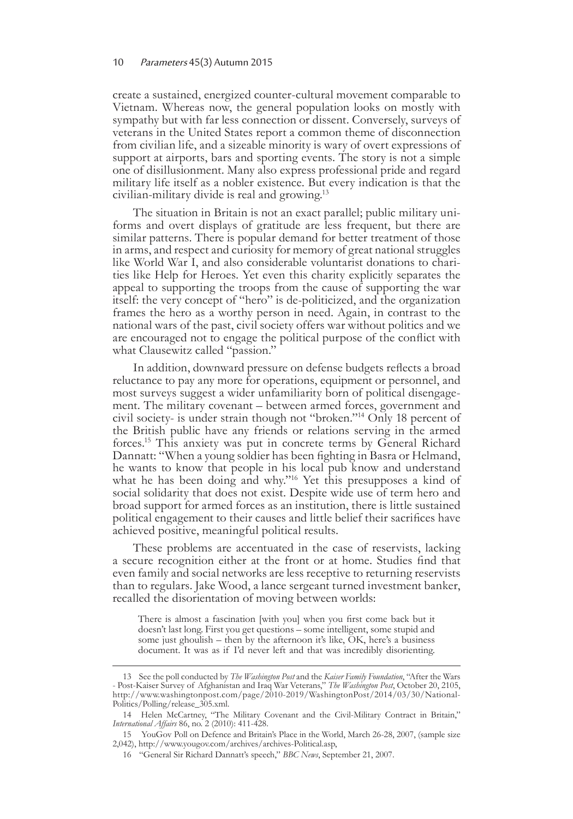#### 10 Parameters 45(3) Autumn 2015

create a sustained, energized counter-cultural movement comparable to Vietnam. Whereas now, the general population looks on mostly with sympathy but with far less connection or dissent. Conversely, surveys of veterans in the United States report a common theme of disconnection from civilian life, and a sizeable minority is wary of overt expressions of support at airports, bars and sporting events. The story is not a simple one of disillusionment. Many also express professional pride and regard military life itself as a nobler existence. But every indication is that the civilian-military divide is real and growing.13

The situation in Britain is not an exact parallel; public military uni- forms and overt displays of gratitude are less frequent, but there are similar patterns. There is popular demand for better treatment of those in arms, and respect and curiosity for memory of great national struggles like World War I, and also considerable voluntarist donations to chari- ties like Help for Heroes. Yet even this charity explicitly separates the appeal to supporting the troops from the cause of supporting the war itself: the very concept of "hero" is de-politicized, and the organization frames the hero as a worthy person in need. Again, in contrast to the national wars of the past, civil society offers war without politics and we are encouraged not to engage the political purpose of the conflict with what Clausewitz called "passion."

In addition, downward pressure on defense budgets reflects a broad reluctance to pay any more for operations, equipment or personnel, and most surveys suggest a wider unfamiliarity born of political disengagement. The military covenant – between armed forces, government and civil society- is under strain though not "broken."14 Only 18 percent of the British public have any friends or relations serving in the armed forces.<sup>15</sup> This anxiety was put in concrete terms by General Richard Dannatt: "When a young soldier has been fighting in Basra or Helmand, he wants to know that people in his local pub know and understand what he has been doing and why."<sup>16</sup> Yet this presupposes a kind of social solidarity that does not exist. Despite wide use of term hero and broad support for armed forces as an institution, there is little sustained political engagement to their causes and little belief their sacrifices have achieved positive, meaningful political results.

These problems are accentuated in the case of reservists, lacking a secure recognition either at the front or at home. Studies find that even family and social networks are less receptive to returning reservists than to regulars. Jake Wood, a lance sergeant turned investment banker, recalled the disorientation of moving between worlds:

There is almost a fascination [with you] when you first come back but it doesn't last long. First you get questions – some intelligent, some stupid and some just ghoulish – then by the afternoon it's like, OK, here's a business document. It was as if I'd never left and that was incredibly disorienting.

<sup>13</sup> See the poll conducted by *The Washington Post* and the *Kaiser Family Foundation*, "After the Wars - Post-Kaiser Survey of Afghanistan and Iraq War Veterans," *The Washington Post*, October 20, 2105, http://www.washingtonpost.com/page/2010-2019/WashingtonPost/2014/03/30/National-Politics/Polling/release\_305.xml.

<sup>14</sup> Helen McCartney, "The Military Covenant and the Civil-Military Contract in Britain," *International Affairs* 86, no. 2 (2010): 411-428.

<sup>15</sup> YouGov Poll on Defence and Britain's Place in the World, March 26-28, 2007, (sample size 2,042), http://www.yougov.com/archives/archives-Political.asp,

<sup>16      &</sup>quot;General Sir Richard Dannatt's speech," *BBC News*, September 21, 2007.